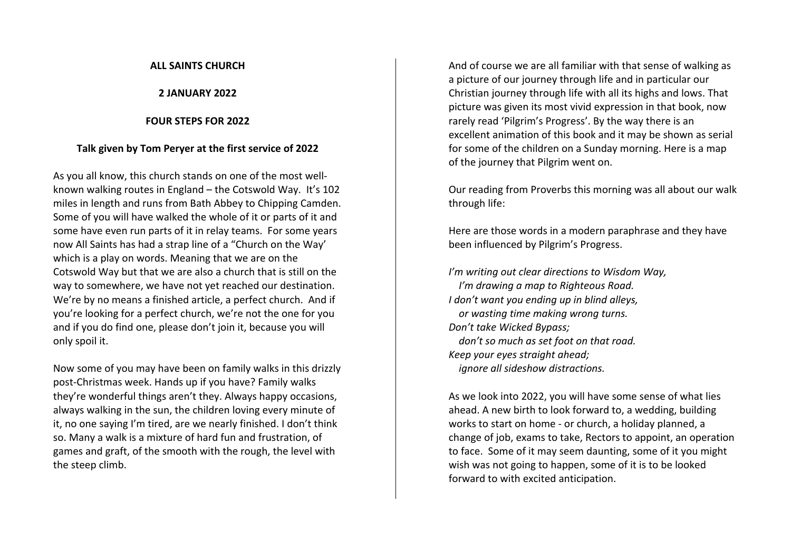### **ALL SAINTS CHURCH**

**2 JANUARY 2022**

### **FOUR STEPS FOR 2022**

## **Talk given by Tom Peryer at the first service of 2022**

As you all know, this church stands on one of the most wellknown walking routes in England – the Cotswold Way. It's 102 miles in length and runs from Bath Abbey to Chipping Camden. Some of you will have walked the whole of it or parts of it and some have even run parts of it in relay teams. For some years now All Saints has had a strap line of a "Church on the Way' which is a play on words. Meaning that we are on the Cotswold Way but that we are also a church that is still on the way to somewhere, we have not yet reached our destination. We're by no means a finished article, a perfect church. And if you're looking for a perfect church, we're not the one for you and if you do find one, please don't join it, because you will only spoil it.

Now some of you may have been on family walks in this drizzly post-Christmas week. Hands up if you have? Family walks they're wonderful things aren't they. Always happy occasions, always walking in the sun, the children loving every minute of it, no one saying I'm tired, are we nearly finished. I don't think so. Many a walk is a mixture of hard fun and frustration, of games and graft, of the smooth with the rough, the level with the steep climb.

And of course we are all familiar with that sense of walking as a picture of our journey through life and in particular our Christian journey through life with all its highs and lows. That picture was given its most vivid expression in that book, now rarely read 'Pilgrim's Progress'. By the way there is an excellent animation of this book and it may be shown as serial for some of the children on a Sunday morning. Here is a map of the journey that Pilgrim went on.

Our reading from Proverbs this morning was all about our walk through life:

Here are those words in a modern paraphrase and they have been influenced by Pilgrim's Progress.

*I'm writing out clear directions to Wisdom Way, I'm drawing a map to Righteous Road. I don't want you ending up in blind alleys, or wasting time making wrong turns. Don't take Wicked Bypass; don't so much as set foot on that road. Keep your eyes straight ahead; ignore all sideshow distractions.*

As we look into 2022, you will have some sense of what lies ahead. A new birth to look forward to, a wedding, building works to start on home - or church, a holiday planned, a change of job, exams to take, Rectors to appoint, an operation to face. Some of it may seem daunting, some of it you might wish was not going to happen, some of it is to be looked forward to with excited anticipation.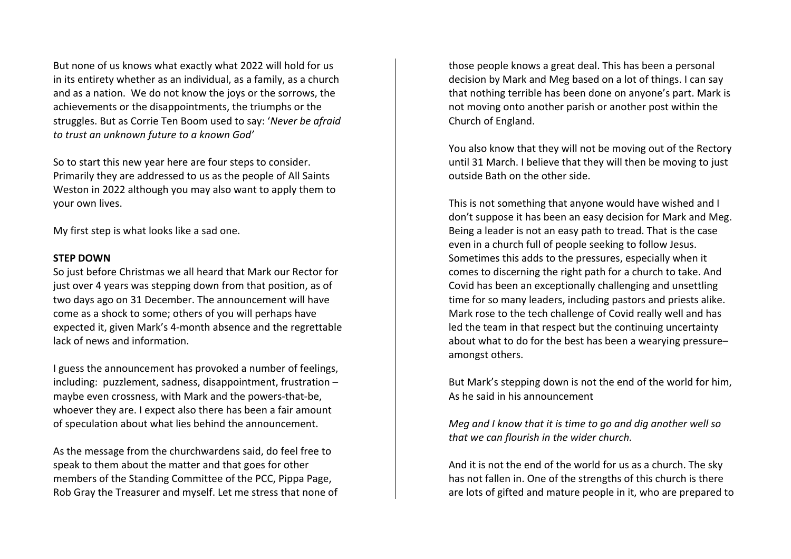But none of us knows what exactly what 2022 will hold for us in its entirety whether as an individual, as a family, as a church and as a nation. We do not know the joys or the sorrows, the achievements or the disappointments, the triumphs or the struggles. But as Corrie Ten Boom used to say: '*Never be afraid to trust an unknown future to a known God'*

So to start this new year here are four steps to consider. Primarily they are addressed to us as the people of All Saints Weston in 2022 although you may also want to apply them to your own lives.

My first step is what looks like a sad one.

## **STEP DOWN**

So just before Christmas we all heard that Mark our Rector for just over 4 years was stepping down from that position, as of two days ago on 31 December. The announcement will have come as a shock to some; others of you will perhaps have expected it, given Mark's 4-month absence and the regrettable lack of news and information.

I guess the announcement has provoked a number of feelings, including: puzzlement, sadness, disappointment, frustration – maybe even crossness, with Mark and the powers-that-be, whoever they are. I expect also there has been a fair amount of speculation about what lies behind the announcement.

As the message from the churchwardens said, do feel free to speak to them about the matter and that goes for other members of the Standing Committee of the PCC, Pippa Page, Rob Gray the Treasurer and myself. Let me stress that none of those people knows a great deal. This has been a personal decision by Mark and Meg based on a lot of things. I can say that nothing terrible has been done on anyone's part. Mark is not moving onto another parish or another post within the Church of England.

You also know that they will not be moving out of the Rectory until 31 March. I believe that they will then be moving to just outside Bath on the other side.

This is not something that anyone would have wished and I don't suppose it has been an easy decision for Mark and Meg. Being a leader is not an easy path to tread. That is the case even in a church full of people seeking to follow Jesus. Sometimes this adds to the pressures, especially when it comes to discerning the right path for a church to take. And Covid has been an exceptionally challenging and unsettling time for so many leaders, including pastors and priests alike. Mark rose to the tech challenge of Covid really well and has led the team in that respect but the continuing uncertainty about what to do for the best has been a wearying pressure– amongst others.

But Mark's stepping down is not the end of the world for him, As he said in his announcement

*Meg and I know that it is time to go and dig another well so that we can flourish in the wider church.* 

And it is not the end of the world for us as a church. The sky has not fallen in. One of the strengths of this church is there are lots of gifted and mature people in it, who are prepared to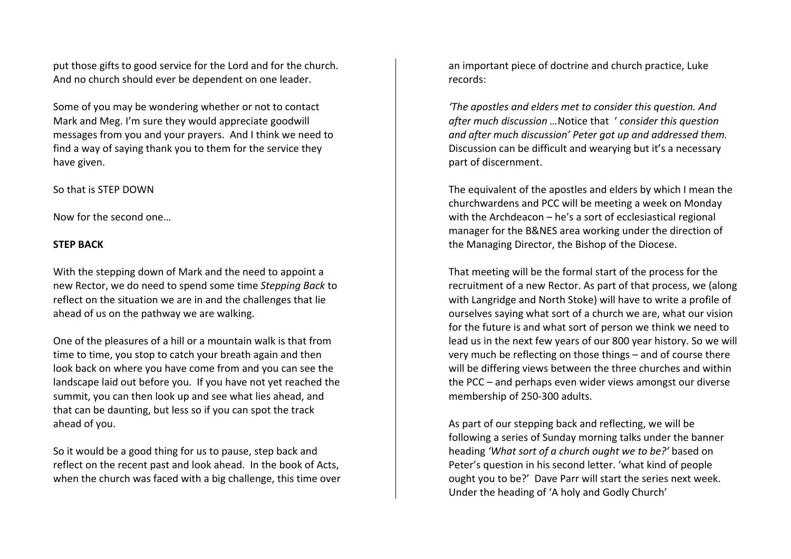put those gifts to good service for the Lord and for the church. And no church should ever be dependent on one leader.

Some of you may be wondering whether or not to contact Mark and Meg. I'm sure they would appreciate goodwill messages from you and your prayers. And I think we need to find a way of saying thank you to them for the service they have given.

### So that is STEP DOWN

Now for the second one…

## **STEP BACK**

With the stepping down of Mark and the need to appoint a new Rector, we do need to spend some time *Stepping Back* to reflect on the situation we are in and the challenges that lie ahead of us on the pathway we are walking.

One of the pleasures of a hill or a mountain walk is that from time to time, you stop to catch your breath again and then look back on where you have come from and you can see the landscape laid out before you. If you have not yet reached the summit, you can then look up and see what lies ahead, and that can be daunting, but less so if you can spot the track ahead of you.

So it would be a good thing for us to pause, step back and reflect on the recent past and look ahead. In the book of Acts, when the church was faced with a big challenge, this time over an important piece of doctrine and church practice, Luke records:

*'The apostles and elders met to consider this question. And after much discussion …*Notice that ' *consider this question and after much discussion' Peter got up and addressed them.*  Discussion can be difficult and wearying but it's a necessary part of discernment.

The equivalent of the apostles and elders by which I mean the churchwardens and PCC will be meeting a week on Monday with the Archdeacon – he's a sort of ecclesiastical regional manager for the B&NES area working under the direction of the Managing Director, the Bishop of the Diocese.

That meeting will be the formal start of the process for the recruitment of a new Rector. As part of that process, we (along with Langridge and North Stoke) will have to write a profile of ourselves saying what sort of a church we are, what our vision for the future is and what sort of person we think we need to lead us in the next few years of our 800 year history. So we will very much be reflecting on those things – and of course there will be differing views between the three churches and within the PCC – and perhaps even wider views amongst our diverse membership of 250-300 adults.

As part of our stepping back and reflecting, we will be following a series of Sunday morning talks under the banner heading *'What sort of a church ought we to be?'* based on Peter's question in his second letter. 'what kind of people ought you to be?' Dave Parr will start the series next week. Under the heading of 'A holy and Godly Church'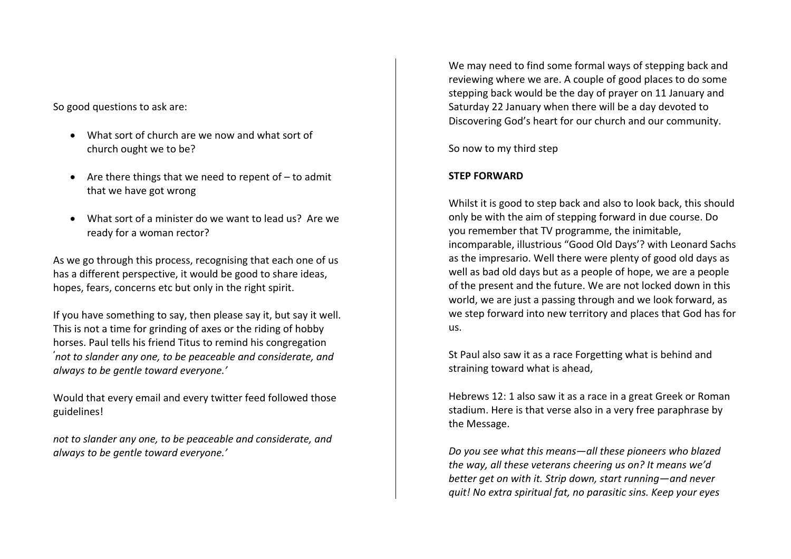So good questions to ask are:

- What sort of church are we now and what sort of church ought we to be?
- Are there things that we need to repent of  $-$  to admit that we have got wrong
- What sort of a minister do we want to lead us? Are we ready for a woman rector?

As we go through this process, recognising that each one of us has a different perspective, it would be good to share ideas, hopes, fears, concerns etc but only in the right spirit.

If you have something to say, then please say it, but say it well. This is not a time for grinding of axes or the riding of hobby horses. Paul tells his friend Titus to remind his congregation **'** *not to slander any one, to be peaceable and considerate, and always to be gentle toward everyone.'*

Would that every email and every twitter feed followed those guidelines!

*not to slander any one, to be peaceable and considerate, and always to be gentle toward everyone.'*

We may need to find some formal ways of stepping back and reviewing where we are. A couple of good places to do some stepping back would be the day of prayer on 11 January and Saturday 22 January when there will be a day devoted to Discovering God's heart for our church and our community.

So now to my third step

# **STEP FORWARD**

Whilst it is good to step back and also to look back, this should only be with the aim of stepping forward in due course. Do you remember that TV programme, the inimitable, incomparable, illustrious "Good Old Days'? with Leonard Sachs as the impresario. Well there were plenty of good old days as well as bad old days but as a people of hope, we are a people of the present and the future. We are not locked down in this world, we are just a passing through and we look forward, as we step forward into new territory and places that God has for us.

St Paul also saw it as a race Forgetting what is behind and straining toward what is ahead,

Hebrews 12: 1 also saw it as a race in a great Greek or Roman stadium. Here is that verse also in a very free paraphrase by the Message.

*Do you see what this means—all these pioneers who blazed the way, all these veterans cheering us on? It means we'd better get on with it. Strip down, start running—and never quit! No extra spiritual fat, no parasitic sins. Keep your eyes*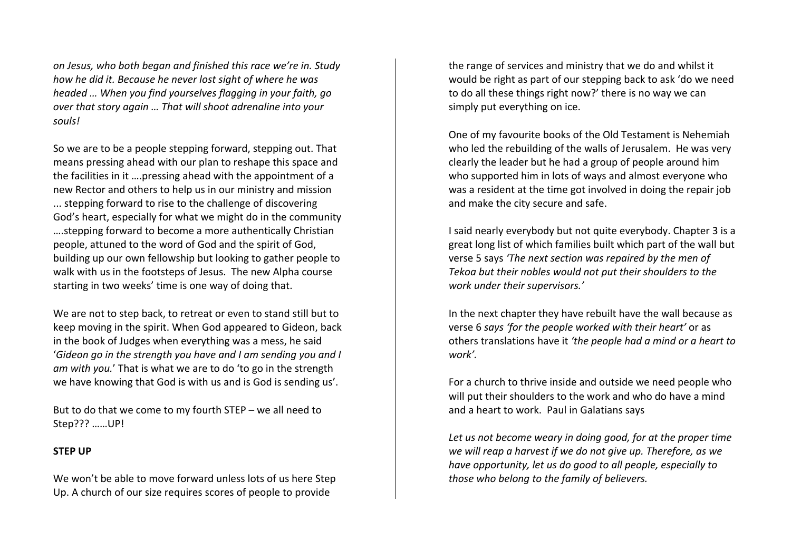*on Jesus, who both began and finished this race we're in. Study how he did it. Because he never lost sight of where he was headed … When you find yourselves flagging in your faith, go over that story again … That will shoot adrenaline into your souls!*

So we are to be a people stepping forward, stepping out. That means pressing ahead with our plan to reshape this space and the facilities in it ….pressing ahead with the appointment of a new Rector and others to help us in our ministry and mission ... stepping forward to rise to the challenge of discovering God's heart, especially for what we might do in the community ….stepping forward to become a more authentically Christian people, attuned to the word of God and the spirit of God, building up our own fellowship but looking to gather people to walk with us in the footsteps of Jesus. The new Alpha course starting in two weeks' time is one way of doing that.

We are not to step back, to retreat or even to stand still but to keep moving in the spirit. When God appeared to Gideon, back in the book of Judges when everything was a mess, he said '*Gideon go in the strength you have and I am sending you and I am with you.*' That is what we are to do 'to go in the strength we have knowing that God is with us and is God is sending us'.

But to do that we come to my fourth STEP – we all need to Step??? ……UP!

### **STEP UP**

We won't be able to move forward unless lots of us here Step Up. A church of our size requires scores of people to provide

the range of services and ministry that we do and whilst it would be right as part of our stepping back to ask 'do we need to do all these things right now?' there is no way we can simply put everything on ice.

One of my favourite books of the Old Testament is Nehemiah who led the rebuilding of the walls of Jerusalem. He was very clearly the leader but he had a group of people around him who supported him in lots of ways and almost everyone who was a resident at the time got involved in doing the repair job and make the city secure and safe.

I said nearly everybody but not quite everybody. Chapter 3 is a great long list of which families built which part of the wall but verse 5 says *'The next section was repaired by the men of Tekoa but their nobles would not put their shoulders to the work under their supervisors.'*

In the next chapter they have rebuilt have the wall because as verse 6 *says 'for the people worked with their heart'* or as others translations have it *'the people had a mind or a heart to work'.*

For a church to thrive inside and outside we need people who will put their shoulders to the work and who do have a mind and a heart to work. Paul in Galatians says

*Let us not become weary in doing good, for at the proper time we will reap a harvest if we do not give up. Therefore, as we have opportunity, let us do good to all people, especially to those who belong to the family of believers.*